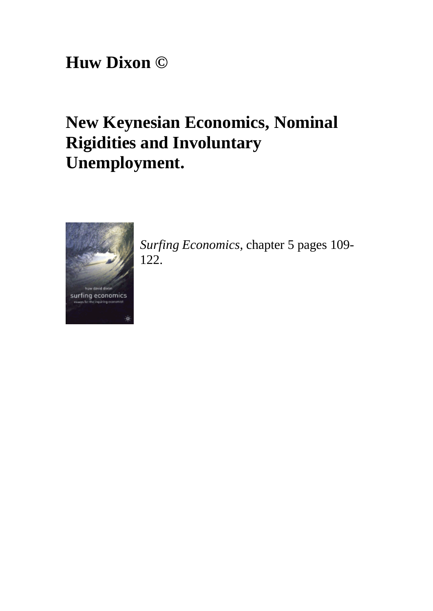# **Huw Dixon ©**

# **New Keynesian Economics, Nominal Rigidities and Involuntary Unemployment.**



*Surfing Economics,* chapter 5 pages 109- 122.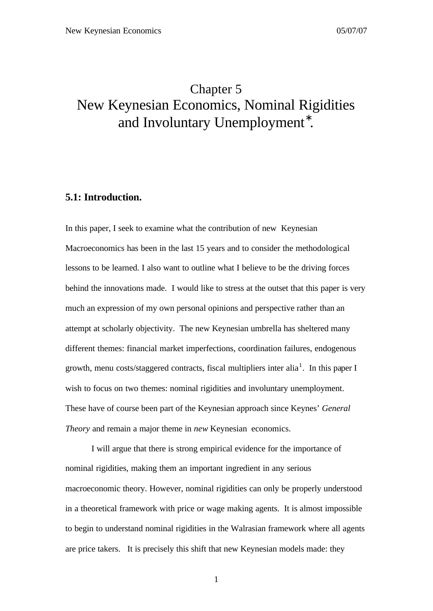# Chapter 5 New Keynesian Economics, Nominal Rigidities and Involuntary Unemployment<sup>\*</sup>.

# **5.1: Introduction.**

In this paper, I seek to examine what the contribution of new Keynesian Macroeconomics has been in the last 15 years and to consider the methodological lessons to be learned. I also want to outline what I believe to be the driving forces behind the innovations made. I would like to stress at the outset that this paper is very much an expression of my own personal opinions and perspective rather than an attempt at scholarly objectivity. The new Keynesian umbrella has sheltered many different themes: financial market imperfections, coordination failures, endogenous growth, menu costs/staggered contracts, fiscal multipliers inter alia<sup>1</sup>. In this paper I wish to focus on two themes: nominal rigidities and involuntary unemployment. These have of course been part of the Keynesian approach since Keynes' *General Theory* and remain a major theme in *new* Keynesian economics.

I will argue that there is strong empirical evidence for the importance of nominal rigidities, making them an important ingredient in any serious macroeconomic theory. However, nominal rigidities can only be properly understood in a theoretical framework with price or wage making agents. It is almost impossible to begin to understand nominal rigidities in the Walrasian framework where all agents are price takers. It is precisely this shift that new Keynesian models made: they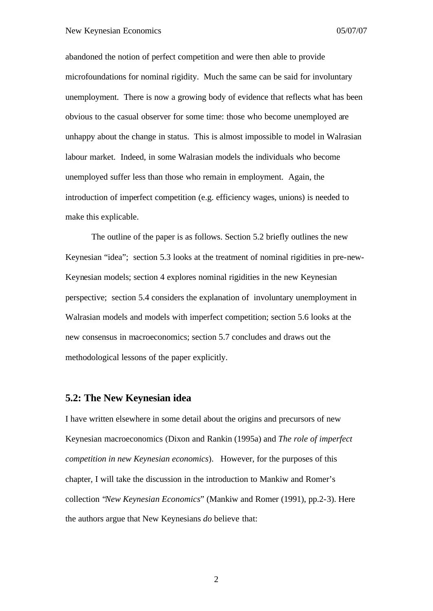abandoned the notion of perfect competition and were then able to provide microfoundations for nominal rigidity. Much the same can be said for involuntary unemployment. There is now a growing body of evidence that reflects what has been obvious to the casual observer for some time: those who become unemployed are unhappy about the change in status. This is almost impossible to model in Walrasian labour market. Indeed, in some Walrasian models the individuals who become unemployed suffer less than those who remain in employment. Again, the introduction of imperfect competition (e.g. efficiency wages, unions) is needed to make this explicable.

The outline of the paper is as follows. Section 5.2 briefly outlines the new Keynesian "idea"; section 5.3 looks at the treatment of nominal rigidities in pre-new-Keynesian models; section 4 explores nominal rigidities in the new Keynesian perspective; section 5.4 considers the explanation of involuntary unemployment in Walrasian models and models with imperfect competition; section 5.6 looks at the new consensus in macroeconomics; section 5.7 concludes and draws out the methodological lessons of the paper explicitly.

# **5.2: The New Keynesian idea**

I have written elsewhere in some detail about the origins and precursors of new Keynesian macroeconomics (Dixon and Rankin (1995a) and *The role of imperfect competition in new Keynesian economics*). However, for the purposes of this chapter, I will take the discussion in the introduction to Mankiw and Romer's collection "*New Keynesian Economics*" (Mankiw and Romer (1991), pp.2-3). Here the authors argue that New Keynesians *do* believe that: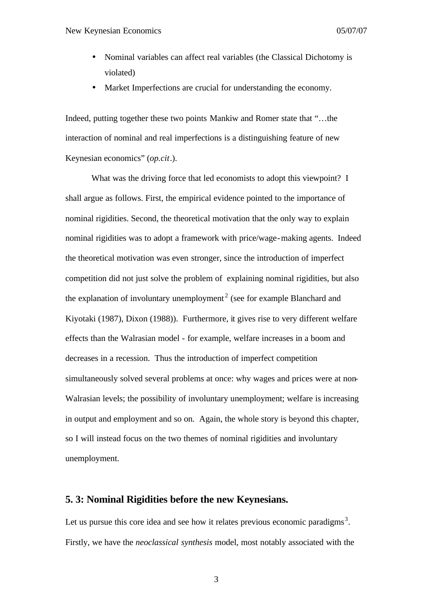- Nominal variables can affect real variables (the Classical Dichotomy is violated)
- Market Imperfections are crucial for understanding the economy.

Indeed, putting together these two points Mankiw and Romer state that "…the interaction of nominal and real imperfections is a distinguishing feature of new Keynesian economics" (*op.cit*.).

What was the driving force that led economists to adopt this viewpoint? I shall argue as follows. First, the empirical evidence pointed to the importance of nominal rigidities. Second, the theoretical motivation that the only way to explain nominal rigidities was to adopt a framework with price/wage-making agents. Indeed the theoretical motivation was even stronger, since the introduction of imperfect competition did not just solve the problem of explaining nominal rigidities, but also the explanation of involuntary unemployment<sup>2</sup> (see for example Blanchard and Kiyotaki (1987), Dixon (1988)). Furthermore, it gives rise to very different welfare effects than the Walrasian model - for example, welfare increases in a boom and decreases in a recession. Thus the introduction of imperfect competition simultaneously solved several problems at once: why wages and prices were at non-Walrasian levels; the possibility of involuntary unemployment; welfare is increasing in output and employment and so on. Again, the whole story is beyond this chapter, so I will instead focus on the two themes of nominal rigidities and involuntary unemployment.

# **5. 3: Nominal Rigidities before the new Keynesians.**

Let us pursue this core idea and see how it relates previous economic paradigms<sup>3</sup>. Firstly, we have the *neoclassical synthesis* model, most notably associated with the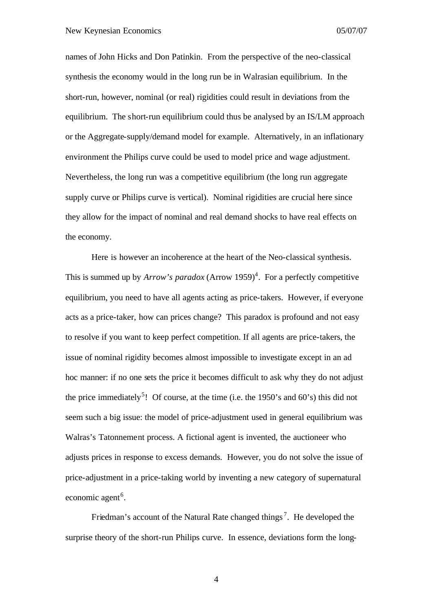names of John Hicks and Don Patinkin. From the perspective of the neo-classical synthesis the economy would in the long run be in Walrasian equilibrium. In the short-run, however, nominal (or real) rigidities could result in deviations from the equilibrium. The short-run equilibrium could thus be analysed by an IS/LM approach or the Aggregate-supply/demand model for example. Alternatively, in an inflationary environment the Philips curve could be used to model price and wage adjustment. Nevertheless, the long run was a competitive equilibrium (the long run aggregate supply curve or Philips curve is vertical). Nominal rigidities are crucial here since they allow for the impact of nominal and real demand shocks to have real effects on the economy.

Here is however an incoherence at the heart of the Neo-classical synthesis. This is summed up by *Arrow's paradox* (Arrow 1959)<sup>4</sup>. For a perfectly competitive equilibrium, you need to have all agents acting as price-takers. However, if everyone acts as a price-taker, how can prices change? This paradox is profound and not easy to resolve if you want to keep perfect competition. If all agents are price-takers, the issue of nominal rigidity becomes almost impossible to investigate except in an ad hoc manner: if no one sets the price it becomes difficult to ask why they do not adjust the price immediately<sup>5</sup>! Of course, at the time (i.e. the 1950's and 60's) this did not seem such a big issue: the model of price-adjustment used in general equilibrium was Walras's Tatonnement process. A fictional agent is invented, the auctioneer who adjusts prices in response to excess demands. However, you do not solve the issue of price-adjustment in a price-taking world by inventing a new category of supernatural economic agent<sup>6</sup>.

Friedman's account of the Natural Rate changed things<sup>7</sup>. He developed the surprise theory of the short-run Philips curve. In essence, deviations form the long-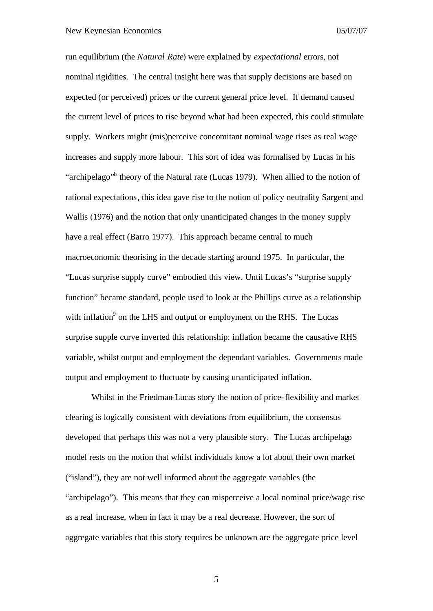run equilibrium (the *Natural Rate*) were explained by *expectational* errors, not nominal rigidities. The central insight here was that supply decisions are based on expected (or perceived) prices or the current general price level. If demand caused the current level of prices to rise beyond what had been expected, this could stimulate supply. Workers might (mis)perceive concomitant nominal wage rises as real wage increases and supply more labour. This sort of idea was formalised by Lucas in his "archipelago"<sup>8</sup> theory of the Natural rate (Lucas 1979). When allied to the notion of rational expectations, this idea gave rise to the notion of policy neutrality Sargent and Wallis (1976) and the notion that only unanticipated changes in the money supply have a real effect (Barro 1977). This approach became central to much macroeconomic theorising in the decade starting around 1975. In particular, the "Lucas surprise supply curve" embodied this view. Until Lucas's "surprise supply function" became standard, people used to look at the Phillips curve as a relationship with inflation $9$  on the LHS and output or employment on the RHS. The Lucas surprise supple curve inverted this relationship: inflation became the causative RHS variable, whilst output and employment the dependant variables. Governments made output and employment to fluctuate by causing unanticipated inflation.

Whilst in the Friedman-Lucas story the notion of price-flexibility and market clearing is logically consistent with deviations from equilibrium, the consensus developed that perhaps this was not a very plausible story. The Lucas archipelago model rests on the notion that whilst individuals know a lot about their own market ("island"), they are not well informed about the aggregate variables (the "archipelago"). This means that they can misperceive a local nominal price/wage rise as a real increase, when in fact it may be a real decrease. However, the sort of aggregate variables that this story requires be unknown are the aggregate price level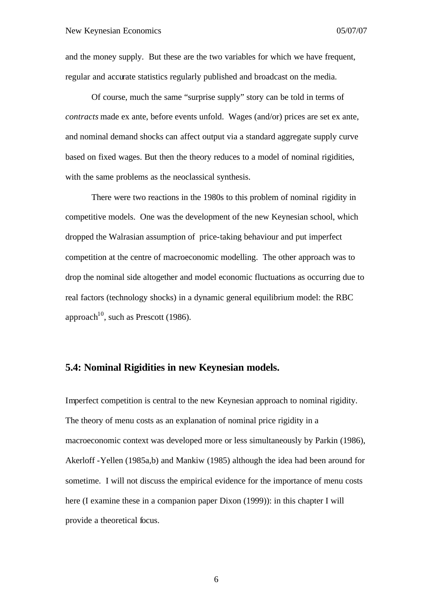and the money supply. But these are the two variables for which we have frequent, regular and accurate statistics regularly published and broadcast on the media.

Of course, much the same "surprise supply" story can be told in terms of *contracts* made ex ante, before events unfold. Wages (and/or) prices are set ex ante, and nominal demand shocks can affect output via a standard aggregate supply curve based on fixed wages. But then the theory reduces to a model of nominal rigidities, with the same problems as the neoclassical synthesis.

There were two reactions in the 1980s to this problem of nominal rigidity in competitive models. One was the development of the new Keynesian school, which dropped the Walrasian assumption of price-taking behaviour and put imperfect competition at the centre of macroeconomic modelling. The other approach was to drop the nominal side altogether and model economic fluctuations as occurring due to real factors (technology shocks) in a dynamic general equilibrium model: the RBC approach<sup>10</sup>, such as Prescott (1986).

# **5.4: Nominal Rigidities in new Keynesian models.**

Imperfect competition is central to the new Keynesian approach to nominal rigidity. The theory of menu costs as an explanation of nominal price rigidity in a macroeconomic context was developed more or less simultaneously by Parkin (1986), Akerloff -Yellen (1985a,b) and Mankiw (1985) although the idea had been around for sometime. I will not discuss the empirical evidence for the importance of menu costs here (I examine these in a companion paper Dixon (1999)): in this chapter I will provide a theoretical focus.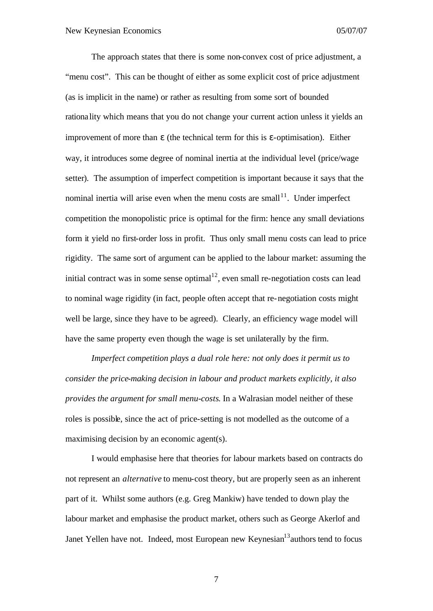The approach states that there is some non-convex cost of price adjustment, a "menu cost". This can be thought of either as some explicit cost of price adjustment (as is implicit in the name) or rather as resulting from some sort of bounded rationality which means that you do not change your current action unless it yields an improvement of more than  $\varepsilon$  (the technical term for this is  $\varepsilon$ -optimisation). Either way, it introduces some degree of nominal inertia at the individual level (price/wage setter). The assumption of imperfect competition is important because it says that the nominal inertia will arise even when the menu costs are small<sup>11</sup>. Under imperfect competition the monopolistic price is optimal for the firm: hence any small deviations form it yield no first-order loss in profit. Thus only small menu costs can lead to price rigidity. The same sort of argument can be applied to the labour market: assuming the initial contract was in some sense optimal<sup>12</sup>, even small re-negotiation costs can lead to nominal wage rigidity (in fact, people often accept that re-negotiation costs might well be large, since they have to be agreed). Clearly, an efficiency wage model will have the same property even though the wage is set unilaterally by the firm.

*Imperfect competition plays a dual role here: not only does it permit us to consider the price-making decision in labour and product markets explicitly, it also provides the argument for small menu-costs*. In a Walrasian model neither of these roles is possible, since the act of price-setting is not modelled as the outcome of a maximising decision by an economic agent(s).

I would emphasise here that theories for labour markets based on contracts do not represent an *alternative* to menu-cost theory, but are properly seen as an inherent part of it. Whilst some authors (e.g. Greg Mankiw) have tended to down play the labour market and emphasise the product market, others such as George Akerlof and Janet Yellen have not. Indeed, most European new Keynesian<sup>13</sup> authors tend to focus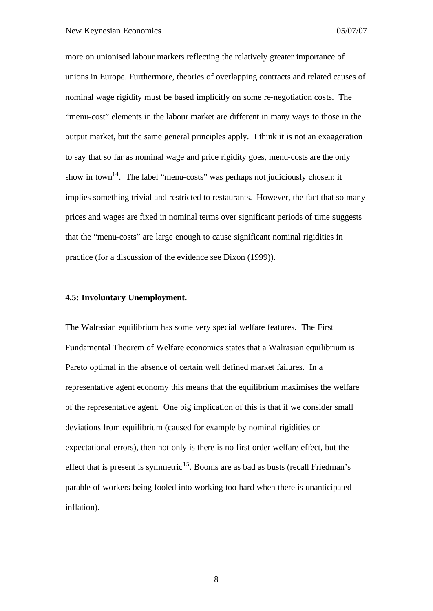more on unionised labour markets reflecting the relatively greater importance of unions in Europe. Furthermore, theories of overlapping contracts and related causes of nominal wage rigidity must be based implicitly on some re-negotiation costs. The "menu-cost" elements in the labour market are different in many ways to those in the output market, but the same general principles apply. I think it is not an exaggeration to say that so far as nominal wage and price rigidity goes, menu-costs are the only show in town<sup>14</sup>. The label "menu-costs" was perhaps not judiciously chosen: it implies something trivial and restricted to restaurants. However, the fact that so many prices and wages are fixed in nominal terms over significant periods of time suggests that the "menu-costs" are large enough to cause significant nominal rigidities in practice (for a discussion of the evidence see Dixon (1999)).

### **4.5: Involuntary Unemployment.**

The Walrasian equilibrium has some very special welfare features. The First Fundamental Theorem of Welfare economics states that a Walrasian equilibrium is Pareto optimal in the absence of certain well defined market failures. In a representative agent economy this means that the equilibrium maximises the welfare of the representative agent. One big implication of this is that if we consider small deviations from equilibrium (caused for example by nominal rigidities or expectational errors), then not only is there is no first order welfare effect, but the effect that is present is symmetric<sup>15</sup>. Booms are as bad as busts (recall Friedman's parable of workers being fooled into working too hard when there is unanticipated inflation).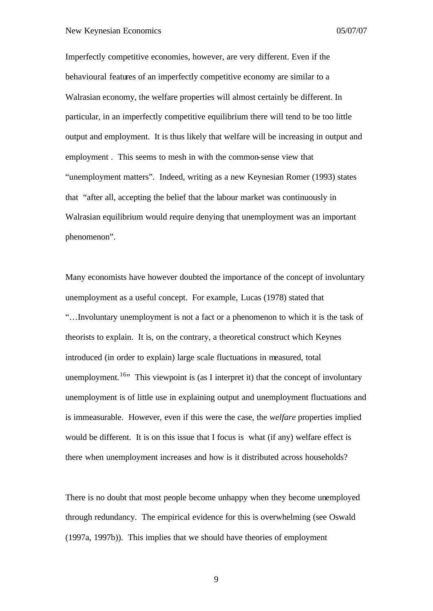Imperfectly competitive economies, however, are very different. Even if the behavioural features of an imperfectly competitive economy are similar to a Walrasian economy, the welfare properties will almost certainly be different. In particular, in an imperfectly competitive equilibrium there will tend to be too little output and employment. It is thus likely that welfare will be increasing in output and employment . This seems to mesh in with the common-sense view that "unemployment matters". Indeed, writing as a new Keynesian Romer (1993) states that "after all, accepting the belief that the labour market was continuously in Walrasian equilibrium would require denying that unemployment was an important phenomenon".

Many economists have however doubted the importance of the concept of involuntary unemployment as a useful concept. For example, Lucas (1978) stated that "…Involuntary unemployment is not a fact or a phenomenon to which it is the task of theorists to explain. It is, on the contrary, a theoretical construct which Keynes introduced (in order to explain) large scale fluctuations in measured, total unemployment.<sup>16</sup> This viewpoint is (as I interpret it) that the concept of involuntary unemployment is of little use in explaining output and unemployment fluctuations and is immeasurable. However, even if this were the case, the *welfare* properties implied would be different. It is on this issue that I focus is what (if any) welfare effect is there when unemployment increases and how is it distributed across households?

There is no doubt that most people become unhappy when they become unemployed through redundancy. The empirical evidence for this is overwhelming (see Oswald (1997a, 1997b)). This implies that we should have theories of employment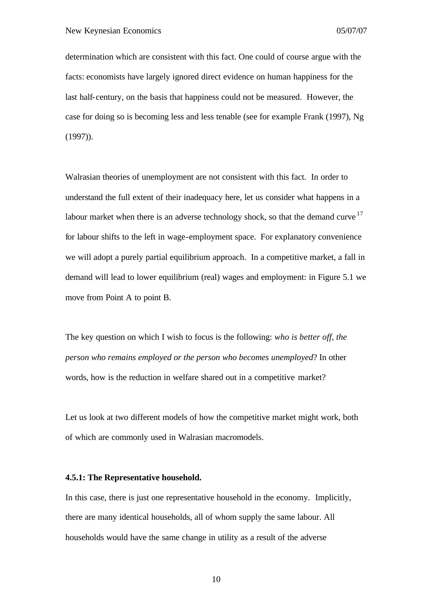determination which are consistent with this fact. One could of course argue with the facts: economists have largely ignored direct evidence on human happiness for the last half-century, on the basis that happiness could not be measured. However, the case for doing so is becoming less and less tenable (see for example Frank (1997), Ng (1997)).

Walrasian theories of unemployment are not consistent with this fact. In order to understand the full extent of their inadequacy here, let us consider what happens in a labour market when there is an adverse technology shock, so that the demand curve  $17$ for labour shifts to the left in wage-employment space. For explanatory convenience we will adopt a purely partial equilibrium approach. In a competitive market, a fall in demand will lead to lower equilibrium (real) wages and employment: in Figure 5.1 we move from Point A to point B.

The key question on which I wish to focus is the following: *who is better off, the person who remains employed or the person who becomes unemployed*? In other words, how is the reduction in welfare shared out in a competitive market?

Let us look at two different models of how the competitive market might work, both of which are commonly used in Walrasian macromodels.

#### **4.5.1: The Representative household.**

In this case, there is just one representative household in the economy. Implicitly, there are many identical households, all of whom supply the same labour. All households would have the same change in utility as a result of the adverse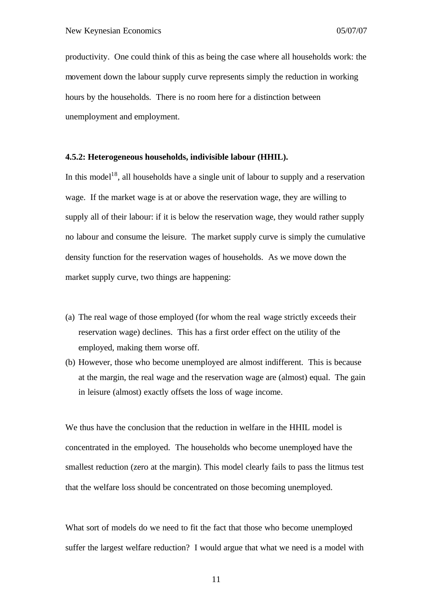productivity. One could think of this as being the case where all households work: the movement down the labour supply curve represents simply the reduction in working hours by the households. There is no room here for a distinction between unemployment and employment.

#### **4.5.2: Heterogeneous households, indivisible labour (HHIL).**

In this model<sup>18</sup>, all households have a single unit of labour to supply and a reservation wage. If the market wage is at or above the reservation wage, they are willing to supply all of their labour: if it is below the reservation wage, they would rather supply no labour and consume the leisure. The market supply curve is simply the cumulative density function for the reservation wages of households. As we move down the market supply curve, two things are happening:

- (a) The real wage of those employed (for whom the real wage strictly exceeds their reservation wage) declines. This has a first order effect on the utility of the employed, making them worse off.
- (b) However, those who become unemployed are almost indifferent. This is because at the margin, the real wage and the reservation wage are (almost) equal. The gain in leisure (almost) exactly offsets the loss of wage income.

We thus have the conclusion that the reduction in welfare in the HHIL model is concentrated in the employed. The households who become unemployed have the smallest reduction (zero at the margin). This model clearly fails to pass the litmus test that the welfare loss should be concentrated on those becoming unemployed.

What sort of models do we need to fit the fact that those who become unemployed suffer the largest welfare reduction? I would argue that what we need is a model with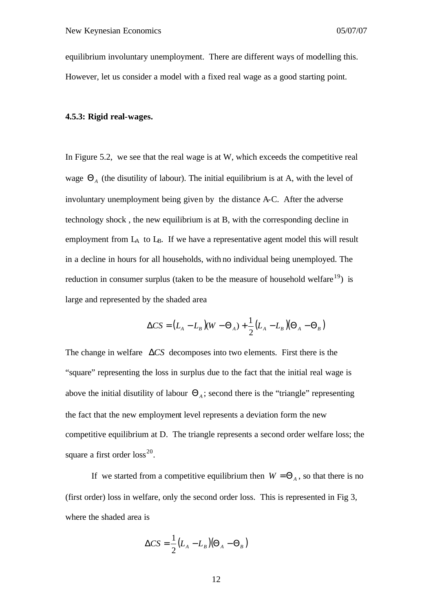equilibrium involuntary unemployment. There are different ways of modelling this. However, let us consider a model with a fixed real wage as a good starting point.

### **4.5.3: Rigid real-wages.**

In Figure 5.2, we see that the real wage is at W, which exceeds the competitive real wage  $\Theta_A$  (the disutility of labour). The initial equilibrium is at A, with the level of involuntary unemployment being given by the distance A-C. After the adverse technology shock , the new equilibrium is at B, with the corresponding decline in employment from  $L_A$  to  $L_B$ . If we have a representative agent model this will result in a decline in hours for all households, with no individual being unemployed. The reduction in consumer surplus (taken to be the measure of household welfare<sup>19</sup>) is large and represented by the shaded area

$$
\Delta CS = (L_A - L_B)(W - \Theta_A) + \frac{1}{2}(L_A - L_B)(\Theta_A - \Theta_B)
$$

The change in welfare Δ*CS* decomposes into two elements. First there is the "square" representing the loss in surplus due to the fact that the initial real wage is above the initial disutility of labour  $\Theta_A$ ; second there is the "triangle" representing the fact that the new employment level represents a deviation form the new competitive equilibrium at D. The triangle represents a second order welfare loss; the square a first order  $loss^{20}$ .

If we started from a competitive equilibrium then  $W = \Theta_A$ , so that there is no (first order) loss in welfare, only the second order loss. This is represented in Fig 3, where the shaded area is

$$
\Delta CS = \frac{1}{2} (L_A - L_B)(\Theta_A - \Theta_B)
$$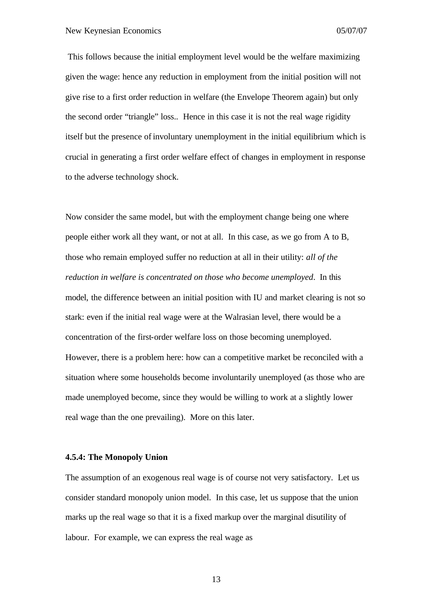This follows because the initial employment level would be the welfare maximizing given the wage: hence any reduction in employment from the initial position will not give rise to a first order reduction in welfare (the Envelope Theorem again) but only the second order "triangle" loss.. Hence in this case it is not the real wage rigidity itself but the presence of involuntary unemployment in the initial equilibrium which is crucial in generating a first order welfare effect of changes in employment in response to the adverse technology shock.

Now consider the same model, but with the employment change being one where people either work all they want, or not at all. In this case, as we go from A to B, those who remain employed suffer no reduction at all in their utility: *all of the reduction in welfare is concentrated on those who become unemployed*. In this model, the difference between an initial position with IU and market clearing is not so stark: even if the initial real wage were at the Walrasian level, there would be a concentration of the first-order welfare loss on those becoming unemployed. However, there is a problem here: how can a competitive market be reconciled with a situation where some households become involuntarily unemployed (as those who are made unemployed become, since they would be willing to work at a slightly lower real wage than the one prevailing). More on this later.

#### **4.5.4: The Monopoly Union**

The assumption of an exogenous real wage is of course not very satisfactory. Let us consider standard monopoly union model. In this case, let us suppose that the union marks up the real wage so that it is a fixed markup over the marginal disutility of labour. For example, we can express the real wage as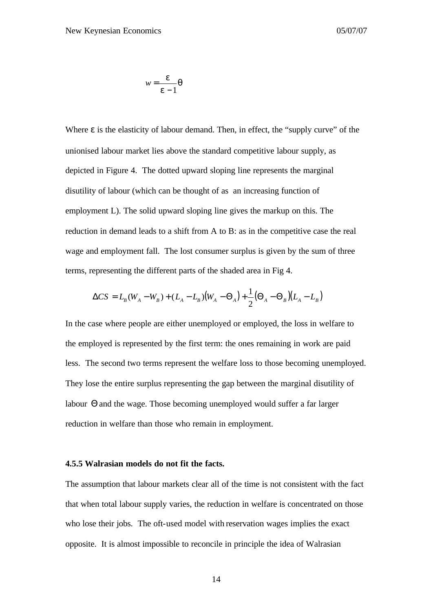$$
w=\frac{e}{e-1}q
$$

Where  $\varepsilon$  is the elasticity of labour demand. Then, in effect, the "supply curve" of the unionised labour market lies above the standard competitive labour supply, as depicted in Figure 4. The dotted upward sloping line represents the marginal disutility of labour (which can be thought of as an increasing function of employment L). The solid upward sloping line gives the markup on this. The reduction in demand leads to a shift from A to B: as in the competitive case the real wage and employment fall. The lost consumer surplus is given by the sum of three terms, representing the different parts of the shaded area in Fig 4.

$$
\Delta CS = L_B (W_A - W_B) + (L_A - L_B)(W_A - \Theta_A) + \frac{1}{2} (\Theta_A - \Theta_B)(L_A - L_B)
$$

In the case where people are either unemployed or employed, the loss in welfare to the employed is represented by the first term: the ones remaining in work are paid less. The second two terms represent the welfare loss to those becoming unemployed. They lose the entire surplus representing the gap between the marginal disutility of labour Θ and the wage. Those becoming unemployed would suffer a far larger reduction in welfare than those who remain in employment.

#### **4.5.5 Walrasian models do not fit the facts.**

The assumption that labour markets clear all of the time is not consistent with the fact that when total labour supply varies, the reduction in welfare is concentrated on those who lose their jobs. The oft-used model with reservation wages implies the exact opposite. It is almost impossible to reconcile in principle the idea of Walrasian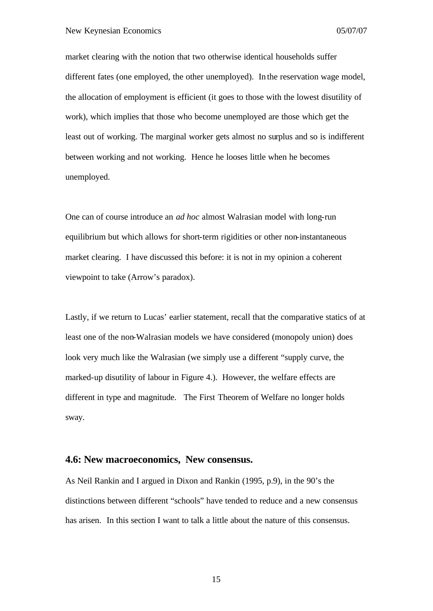market clearing with the notion that two otherwise identical households suffer different fates (one employed, the other unemployed). In the reservation wage model, the allocation of employment is efficient (it goes to those with the lowest disutility of work), which implies that those who become unemployed are those which get the least out of working. The marginal worker gets almost no surplus and so is indifferent between working and not working. Hence he looses little when he becomes unemployed.

One can of course introduce an *ad hoc* almost Walrasian model with long-run equilibrium but which allows for short-term rigidities or other non-instantaneous market clearing. I have discussed this before: it is not in my opinion a coherent viewpoint to take (Arrow's paradox).

Lastly, if we return to Lucas' earlier statement, recall that the comparative statics of at least one of the non-Walrasian models we have considered (monopoly union) does look very much like the Walrasian (we simply use a different "supply curve, the marked-up disutility of labour in Figure 4.). However, the welfare effects are different in type and magnitude. The First Theorem of Welfare no longer holds sway.

### **4.6: New macroeconomics, New consensus.**

As Neil Rankin and I argued in Dixon and Rankin (1995, p.9), in the 90's the distinctions between different "schools" have tended to reduce and a new consensus has arisen. In this section I want to talk a little about the nature of this consensus.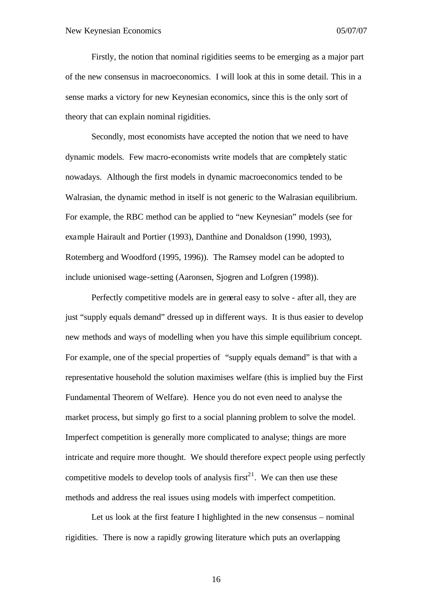Firstly, the notion that nominal rigidities seems to be emerging as a major part of the new consensus in macroeconomics. I will look at this in some detail. This in a sense marks a victory for new Keynesian economics, since this is the only sort of theory that can explain nominal rigidities.

Secondly, most economists have accepted the notion that we need to have dynamic models. Few macro-economists write models that are completely static nowadays. Although the first models in dynamic macroeconomics tended to be Walrasian, the dynamic method in itself is not generic to the Walrasian equilibrium. For example, the RBC method can be applied to "new Keynesian" models (see for example Hairault and Portier (1993), Danthine and Donaldson (1990, 1993), Rotemberg and Woodford (1995, 1996)). The Ramsey model can be adopted to include unionised wage-setting (Aaronsen, Sjogren and Lofgren (1998)).

Perfectly competitive models are in general easy to solve - after all, they are just "supply equals demand" dressed up in different ways. It is thus easier to develop new methods and ways of modelling when you have this simple equilibrium concept. For example, one of the special properties of "supply equals demand" is that with a representative household the solution maximises welfare (this is implied buy the First Fundamental Theorem of Welfare). Hence you do not even need to analyse the market process, but simply go first to a social planning problem to solve the model. Imperfect competition is generally more complicated to analyse; things are more intricate and require more thought. We should therefore expect people using perfectly competitive models to develop tools of analysis first<sup>21</sup>. We can then use these methods and address the real issues using models with imperfect competition.

Let us look at the first feature I highlighted in the new consensus – nominal rigidities. There is now a rapidly growing literature which puts an overlapping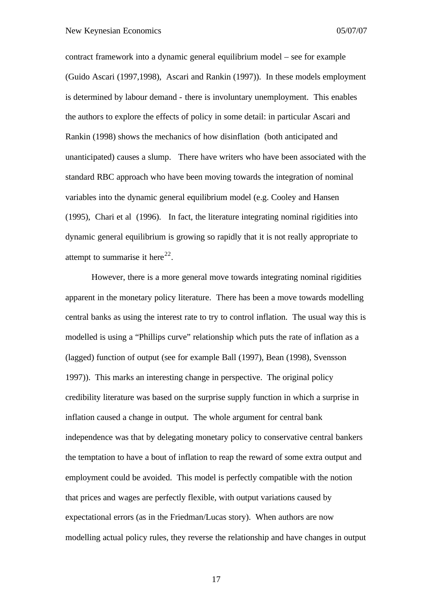contract framework into a dynamic general equilibrium model – see for example (Guido Ascari (1997,1998), Ascari and Rankin (1997)). In these models employment is determined by labour demand - there is involuntary unemployment. This enables the authors to explore the effects of policy in some detail: in particular Ascari and Rankin (1998) shows the mechanics of how disinflation (both anticipated and unanticipated) causes a slump. There have writers who have been associated with the standard RBC approach who have been moving towards the integration of nominal variables into the dynamic general equilibrium model (e.g. Cooley and Hansen (1995), Chari et al (1996). In fact, the literature integrating nominal rigidities into dynamic general equilibrium is growing so rapidly that it is not really appropriate to attempt to summarise it here<sup>22</sup>.

However, there is a more general move towards integrating nominal rigidities apparent in the monetary policy literature. There has been a move towards modelling central banks as using the interest rate to try to control inflation. The usual way this is modelled is using a "Phillips curve" relationship which puts the rate of inflation as a (lagged) function of output (see for example Ball (1997), Bean (1998), Svensson 1997)). This marks an interesting change in perspective. The original policy credibility literature was based on the surprise supply function in which a surprise in inflation caused a change in output. The whole argument for central bank independence was that by delegating monetary policy to conservative central bankers the temptation to have a bout of inflation to reap the reward of some extra output and employment could be avoided. This model is perfectly compatible with the notion that prices and wages are perfectly flexible, with output variations caused by expectational errors (as in the Friedman/Lucas story). When authors are now modelling actual policy rules, they reverse the relationship and have changes in output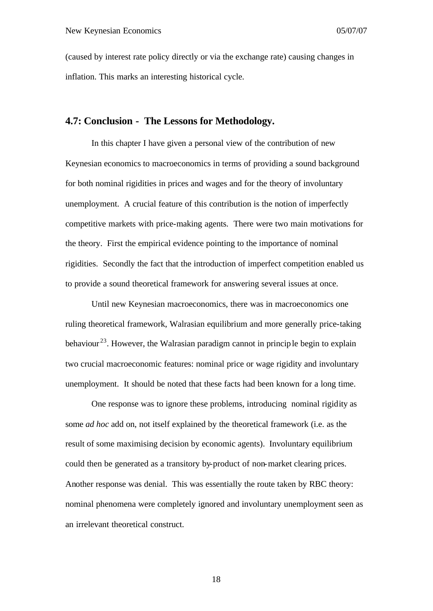(caused by interest rate policy directly or via the exchange rate) causing changes in inflation. This marks an interesting historical cycle.

# **4.7: Conclusion - The Lessons for Methodology.**

In this chapter I have given a personal view of the contribution of new Keynesian economics to macroeconomics in terms of providing a sound background for both nominal rigidities in prices and wages and for the theory of involuntary unemployment. A crucial feature of this contribution is the notion of imperfectly competitive markets with price-making agents. There were two main motivations for the theory. First the empirical evidence pointing to the importance of nominal rigidities. Secondly the fact that the introduction of imperfect competition enabled us to provide a sound theoretical framework for answering several issues at once.

Until new Keynesian macroeconomics, there was in macroeconomics one ruling theoretical framework, Walrasian equilibrium and more generally price-taking behaviour<sup>23</sup>. However, the Walrasian paradigm cannot in principle begin to explain two crucial macroeconomic features: nominal price or wage rigidity and involuntary unemployment. It should be noted that these facts had been known for a long time.

One response was to ignore these problems, introducing nominal rigidity as some *ad hoc* add on, not itself explained by the theoretical framework (i.e. as the result of some maximising decision by economic agents). Involuntary equilibrium could then be generated as a transitory by-product of non-market clearing prices. Another response was denial. This was essentially the route taken by RBC theory: nominal phenomena were completely ignored and involuntary unemployment seen as an irrelevant theoretical construct.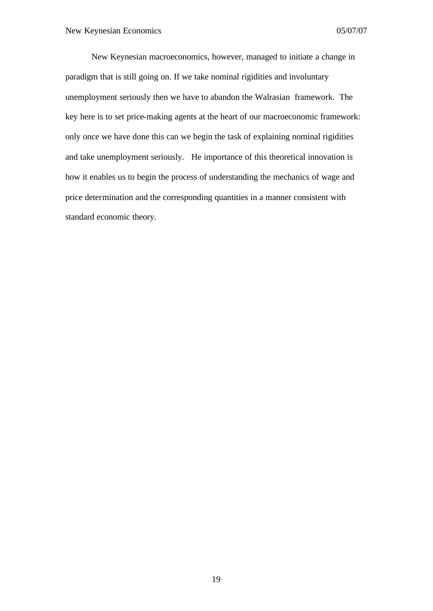New Keynesian macroeconomics, however, managed to initiate a change in paradigm that is still going on. If we take nominal rigidities and involuntary unemployment seriously then we have to abandon the Walrasian framework. The key here is to set price-making agents at the heart of our macroeconomic framework: only once we have done this can we begin the task of explaining nominal rigidities and take unemployment seriously. He importance of this theoretical innovation is how it enables us to begin the process of understanding the mechanics of wage and price determination and the corresponding quantities in a manner consistent with standard economic theory.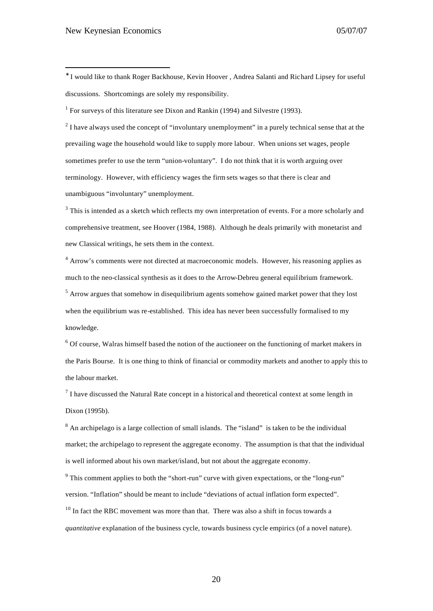j

∗ I would like to thank Roger Backhouse, Kevin Hoover , Andrea Salanti and Richard Lipsey for useful discussions. Shortcomings are solely my responsibility.

<sup>1</sup> For surveys of this literature see Dixon and Rankin (1994) and Silvestre (1993).

 $2<sup>2</sup>$  I have always used the concept of "involuntary unemployment" in a purely technical sense that at the prevailing wage the household would like to supply more labour. When unions set wages, people sometimes prefer to use the term "union-voluntary". I do not think that it is worth arguing over terminology. However, with efficiency wages the firm sets wages so that there is clear and unambiguous "involuntary" unemployment.

 $3$  This is intended as a sketch which reflects my own interpretation of events. For a more scholarly and comprehensive treatment, see Hoover (1984, 1988). Although he deals primarily with monetarist and new Classical writings, he sets them in the context.

<sup>4</sup> Arrow's comments were not directed at macroeconomic models. However, his reasoning applies as much to the neo-classical synthesis as it does to the Arrow-Debreu general equilibrium framework.  $<sup>5</sup>$  Arrow argues that somehow in disequilibrium agents somehow gained market power that they lost</sup> when the equilibrium was re-established. This idea has never been successfully formalised to my

knowledge.

 $6$  Of course, Walras himself based the notion of the auctioneer on the functioning of market makers in the Paris Bourse. It is one thing to think of financial or commodity markets and another to apply this to the labour market.

 $<sup>7</sup>$  I have discussed the Natural Rate concept in a historical and theoretical context at some length in</sup> Dixon (1995b).

 $8$  An archipelago is a large collection of small islands. The "island" is taken to be the individual market; the archipelago to represent the aggregate economy. The assumption is that that the individual is well informed about his own market/island, but not about the aggregate economy.

 $9^9$  This comment applies to both the "short-run" curve with given expectations, or the "long-run" version. "Inflation" should be meant to include "deviations of actual inflation form expected".  $10$  In fact the RBC movement was more than that. There was also a shift in focus towards a *quantitative* explanation of the business cycle, towards business cycle empirics (of a novel nature).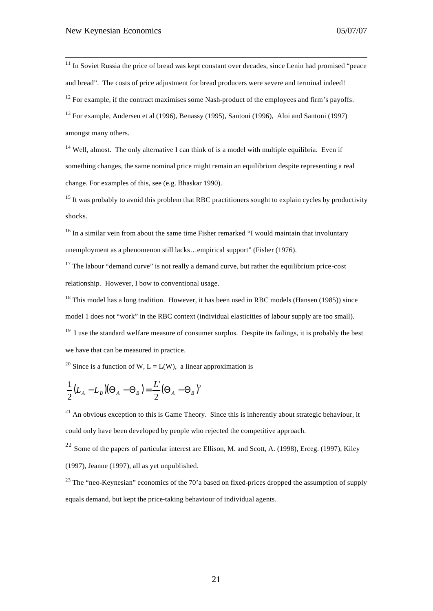j

 $11$  In Soviet Russia the price of bread was kept constant over decades, since Lenin had promised "peace and bread". The costs of price adjustment for bread producers were severe and terminal indeed!  $12$  For example, if the contract maximises some Nash-product of the employees and firm's payoffs. <sup>13</sup> For example, Andersen et al (1996), Benassy (1995), Santoni (1996), Aloi and Santoni (1997) amongst many others.

 $14$  Well, almost. The only alternative I can think of is a model with multiple equilibria. Even if something changes, the same nominal price might remain an equilibrium despite representing a real change. For examples of this, see (e.g. Bhaskar 1990).

 $15$  It was probably to avoid this problem that RBC practitioners sought to explain cycles by productivity shocks.

<sup>16</sup> In a similar vein from about the same time Fisher remarked "I would maintain that involuntary unemployment as a phenomenon still lacks…empirical support" (Fisher (1976).

 $17$  The labour "demand curve" is not really a demand curve, but rather the equilibrium price-cost relationship. However, I bow to conventional usage.

 $18$  This model has a long tradition. However, it has been used in RBC models (Hansen (1985)) since model 1 does not "work" in the RBC context (individual elasticities of labour supply are too small).

<sup>19</sup> I use the standard welfare measure of consumer surplus. Despite its failings, it is probably the best we have that can be measured in practice.

<sup>20</sup> Since is a function of W, L = L(W), a linear approximation is

$$
\frac{1}{2}(L_A - L_B)(\Theta_A - \Theta_B) = \frac{L'}{2}(\Theta_A - \Theta_B)^2
$$

 $21$  An obvious exception to this is Game Theory. Since this is inherently about strategic behaviour, it could only have been developed by people who rejected the competitive approach.

<sup>22</sup> Some of the papers of particular interest are Ellison, M. and Scott, A. (1998), Erceg. (1997), Kiley (1997), Jeanne (1997), all as yet unpublished.

<sup>23</sup> The "neo-Keynesian" economics of the 70'a based on fixed-prices dropped the assumption of supply equals demand, but kept the price-taking behaviour of individual agents.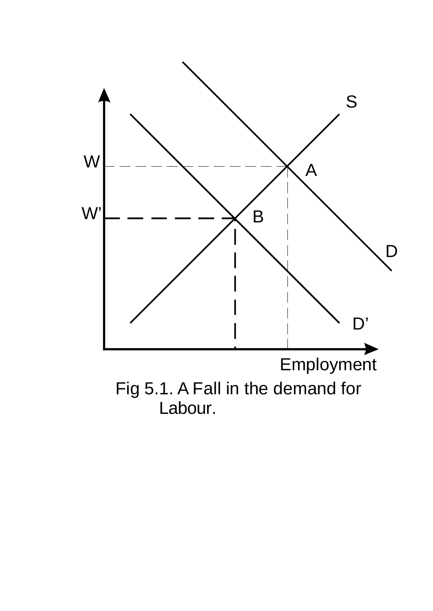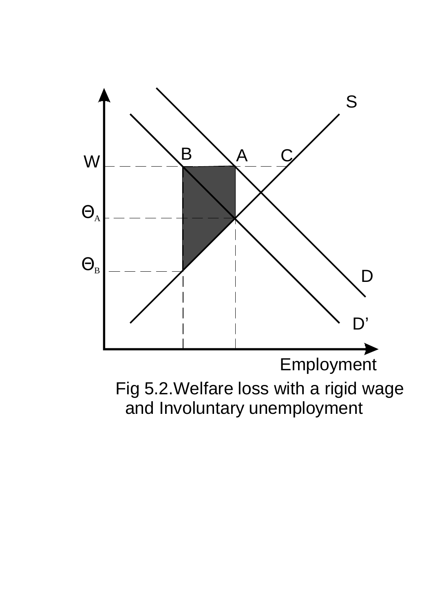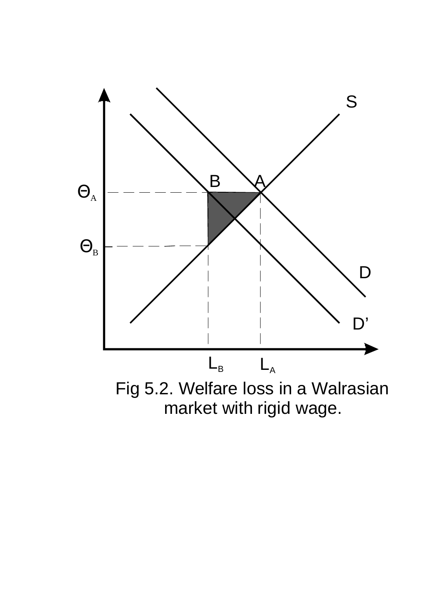

market with rigid wage.